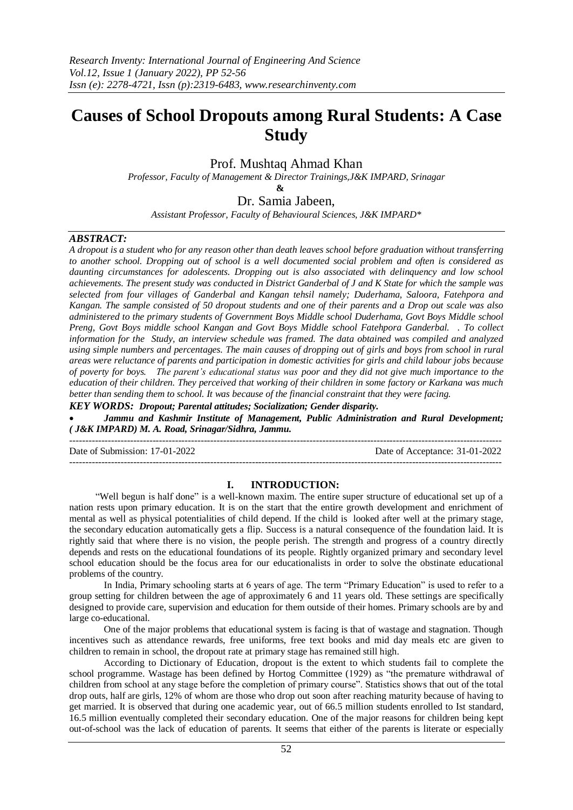# **Causes of School Dropouts among Rural Students: A Case Study**

# Prof. Mushtaq Ahmad Khan

*Professor, Faculty of Management & Director Trainings,J&K IMPARD, Srinagar*

 **&**

# Dr. Samia Jabeen,

*Assistant Professor, Faculty of Behavioural Sciences, J&K IMPARD\**

## *ABSTRACT:*

*A dropout is a student who for any reason other than death leaves school before graduation without transferring to another school. Dropping out of school is a well documented social problem and often is considered as daunting circumstances for adolescents. Dropping out is also associated with delinquency and low school achievements. The present study was conducted in District Ganderbal of J and K State for which the sample was selected from four villages of Ganderbal and Kangan tehsil namely; Duderhama, Saloora, Fatehpora and Kangan. The sample consisted of 50 dropout students and one of their parents and a Drop out scale was also administered to the primary students of Government Boys Middle school Duderhama, Govt Boys Middle school Preng, Govt Boys middle school Kangan and Govt Boys Middle school Fatehpora Ganderbal. . To collect information for the Study, an interview schedule was framed. The data obtained was compiled and analyzed using simple numbers and percentages. The main causes of dropping out of girls and boys from school in rural areas were reluctance of parents and participation in domestic activities for girls and child labour jobs because of poverty for boys. The parent's educational status was poor and they did not give much importance to the education of their children. They perceived that working of their children in some factory or Karkana was much better than sending them to school. It was because of the financial constraint that they were facing.* 

*KEY WORDS: Dropout; Parental attitudes; Socialization; Gender disparity.*

 *Jammu and Kashmir Institute of Management, Public Administration and Rural Development; ( J&K IMPARD) M. A. Road, Srinagar/Sidhra, Jammu.*

--------------------------------------------------------------------------------------------------------------------------------------- Date of Submission: 17-01-2022 Date of Acceptance: 31-01-2022 ---------------------------------------------------------------------------------------------------------------------------------------

## **I. INTRODUCTION:**

 "Well begun is half done" is a well-known maxim. The entire super structure of educational set up of a nation rests upon primary education. It is on the start that the entire growth development and enrichment of mental as well as physical potentialities of child depend. If the child is looked after well at the primary stage, the secondary education automatically gets a flip. Success is a natural consequence of the foundation laid. It is rightly said that where there is no vision, the people perish. The strength and progress of a country directly depends and rests on the educational foundations of its people. Rightly organized primary and secondary level school education should be the focus area for our educationalists in order to solve the obstinate educational problems of the country.

In India, Primary schooling starts at 6 years of age. The term "Primary Education" is used to refer to a group setting for children between the age of approximately 6 and 11 years old. These settings are specifically designed to provide care, supervision and education for them outside of their homes. Primary schools are by and large co-educational.

One of the major problems that educational system is facing is that of wastage and stagnation. Though incentives such as attendance rewards, free uniforms, free text books and mid day meals etc are given to children to remain in school, the dropout rate at primary stage has remained still high.

According to Dictionary of Education, dropout is the extent to which students fail to complete the school programme. Wastage has been defined by Hortog Committee (1929) as "the premature withdrawal of children from school at any stage before the completion of primary course". Statistics shows that out of the total drop outs, half are girls, 12% of whom are those who drop out soon after reaching maturity because of having to get married. It is observed that during one academic year, out of 66.5 million students enrolled to Ist standard, 16.5 million eventually completed their secondary education. One of the major reasons for children being kept out-of-school was the lack of education of parents. It seems that either of the parents is literate or especially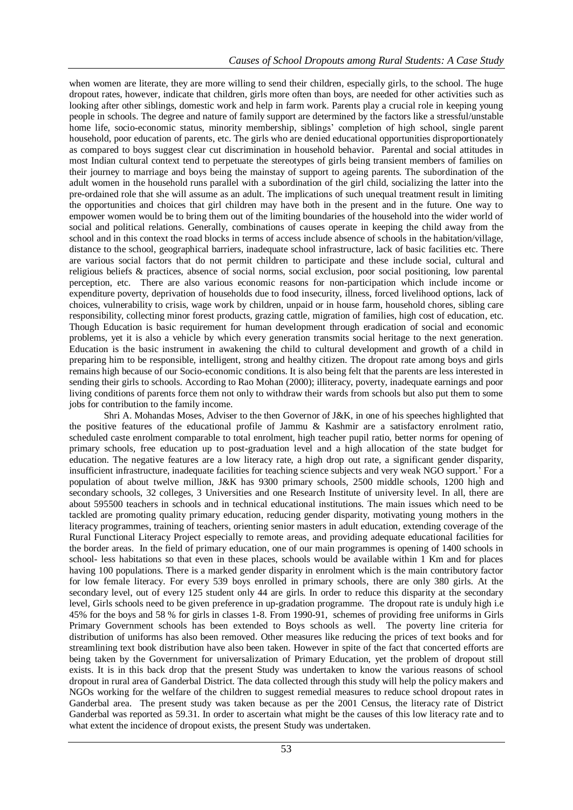when women are literate, they are more willing to send their children, especially girls, to the school. The huge dropout rates, however, indicate that children, girls more often than boys, are needed for other activities such as looking after other siblings, domestic work and help in farm work. Parents play a crucial role in keeping young people in schools. The degree and nature of family support are determined by the factors like a stressful/unstable home life, socio-economic status, minority membership, siblings' completion of high school, single parent household, poor education of parents, etc. The girls who are denied educational opportunities disproportionately as compared to boys suggest clear cut discrimination in household behavior. Parental and social attitudes in most Indian cultural context tend to perpetuate the stereotypes of girls being transient members of families on their journey to marriage and boys being the mainstay of support to ageing parents. The subordination of the adult women in the household runs parallel with a subordination of the girl child, socializing the latter into the pre-ordained role that she will assume as an adult. The implications of such unequal treatment result in limiting the opportunities and choices that girl children may have both in the present and in the future. One way to empower women would be to bring them out of the limiting boundaries of the household into the wider world of social and political relations. Generally, combinations of causes operate in keeping the child away from the school and in this context the road blocks in terms of access include absence of schools in the habitation/village, distance to the school, geographical barriers, inadequate school infrastructure, lack of basic facilities etc. There are various social factors that do not permit children to participate and these include social, cultural and religious beliefs & practices, absence of social norms, social exclusion, poor social positioning, low parental perception, etc. There are also various economic reasons for non-participation which include income or expenditure poverty, deprivation of households due to food insecurity, illness, forced livelihood options, lack of choices, vulnerability to crisis, wage work by children, unpaid or in house farm, household chores, sibling care responsibility, collecting minor forest products, grazing cattle, migration of families, high cost of education, etc. Though Education is basic requirement for human development through eradication of social and economic problems, yet it is also a vehicle by which every generation transmits social heritage to the next generation. Education is the basic instrument in awakening the child to cultural development and growth of a child in preparing him to be responsible, intelligent, strong and healthy citizen. The dropout rate among boys and girls remains high because of our Socio-economic conditions. It is also being felt that the parents are less interested in sending their girls to schools. According to Rao Mohan (2000); illiteracy, poverty, inadequate earnings and poor living conditions of parents force them not only to withdraw their wards from schools but also put them to some jobs for contribution to the family income.

Shri A. Mohandas Moses, Adviser to the then Governor of J&K, in one of his speeches highlighted that the positive features of the educational profile of Jammu & Kashmir are a satisfactory enrolment ratio, scheduled caste enrolment comparable to total enrolment, high teacher pupil ratio, better norms for opening of primary schools, free education up to post-graduation level and a high allocation of the state budget for education. The negative features are a low literacy rate, a high drop out rate, a significant gender disparity, insufficient infrastructure, inadequate facilities for teaching science subjects and very weak NGO support.' For a population of about twelve million, J&K has 9300 primary schools, 2500 middle schools, 1200 high and secondary schools, 32 colleges, 3 Universities and one Research Institute of university level. In all, there are about 595500 teachers in schools and in technical educational institutions. The main issues which need to be tackled are promoting quality primary education, reducing gender disparity, motivating young mothers in the literacy programmes, training of teachers, orienting senior masters in adult education, extending coverage of the Rural Functional Literacy Project especially to remote areas, and providing adequate educational facilities for the border areas. In the field of primary education, one of our main programmes is opening of 1400 schools in school- less habitations so that even in these places, schools would be available within 1 Km and for places having 100 populations. There is a marked gender disparity in enrolment which is the main contributory factor for low female literacy. For every 539 boys enrolled in primary schools, there are only 380 girls. At the secondary level, out of every 125 student only 44 are girls. In order to reduce this disparity at the secondary level, Girls schools need to be given preference in up-gradation programme. The dropout rate is unduly high i.e 45% for the boys and 58 % for girls in classes 1-8. From 1990-91, schemes of providing free uniforms in Girls Primary Government schools has been extended to Boys schools as well. The poverty line criteria for distribution of uniforms has also been removed. Other measures like reducing the prices of text books and for streamlining text book distribution have also been taken. However in spite of the fact that concerted efforts are being taken by the Government for universalization of Primary Education, yet the problem of dropout still exists. It is in this back drop that the present Study was undertaken to know the various reasons of school dropout in rural area of Ganderbal District. The data collected through this study will help the policy makers and NGOs working for the welfare of the children to suggest remedial measures to reduce school dropout rates in Ganderbal area. The present study was taken because as per the 2001 Census, the literacy rate of District Ganderbal was reported as 59.31. In order to ascertain what might be the causes of this low literacy rate and to what extent the incidence of dropout exists, the present Study was undertaken.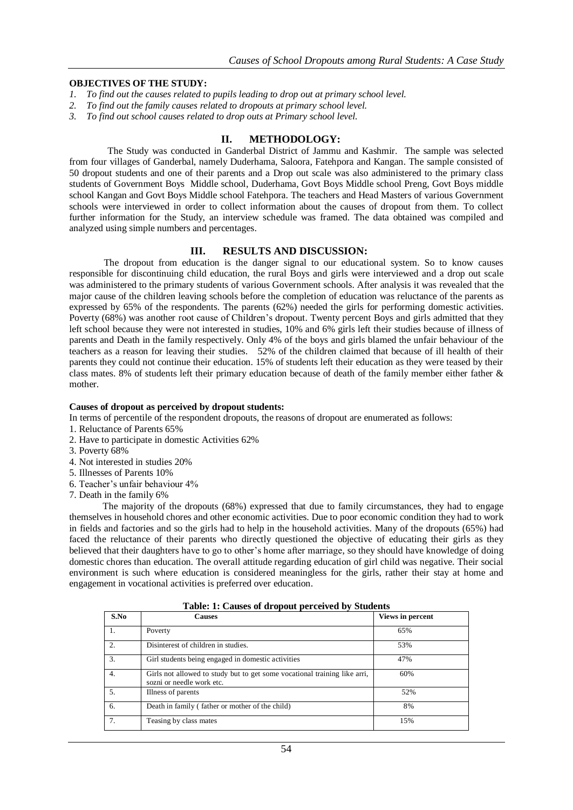## **OBJECTIVES OF THE STUDY:**

- *1. To find out the causes related to pupils leading to drop out at primary school level.*
- *2. To find out the family causes related to dropouts at primary school level.*
- *3. To find out school causes related to drop outs at Primary school level.*

## **II. METHODOLOGY:**

 The Study was conducted in Ganderbal District of Jammu and Kashmir. The sample was selected from four villages of Ganderbal, namely Duderhama, Saloora, Fatehpora and Kangan. The sample consisted of 50 dropout students and one of their parents and a Drop out scale was also administered to the primary class students of Government Boys Middle school, Duderhama, Govt Boys Middle school Preng, Govt Boys middle school Kangan and Govt Boys Middle school Fatehpora. The teachers and Head Masters of various Government schools were interviewed in order to collect information about the causes of dropout from them. To collect further information for the Study, an interview schedule was framed. The data obtained was compiled and analyzed using simple numbers and percentages.

## **III. RESULTS AND DISCUSSION:**

The dropout from education is the danger signal to our educational system. So to know causes responsible for discontinuing child education, the rural Boys and girls were interviewed and a drop out scale was administered to the primary students of various Government schools. After analysis it was revealed that the major cause of the children leaving schools before the completion of education was reluctance of the parents as expressed by 65% of the respondents. The parents (62%) needed the girls for performing domestic activities. Poverty (68%) was another root cause of Children's dropout. Twenty percent Boys and girls admitted that they left school because they were not interested in studies, 10% and 6% girls left their studies because of illness of parents and Death in the family respectively. Only 4% of the boys and girls blamed the unfair behaviour of the teachers as a reason for leaving their studies. 52% of the children claimed that because of ill health of their parents they could not continue their education. 15% of students left their education as they were teased by their class mates. 8% of students left their primary education because of death of the family member either father & mother.

#### **Causes of dropout as perceived by dropout students:**

In terms of percentile of the respondent dropouts, the reasons of dropout are enumerated as follows:

- 1. Reluctance of Parents 65%
- 2. Have to participate in domestic Activities 62%
- 3. Poverty 68%
- 4. Not interested in studies 20%
- 5. Illnesses of Parents 10%
- 6. Teacher's unfair behaviour 4%
- 7. Death in the family 6%

 The majority of the dropouts (68%) expressed that due to family circumstances, they had to engage themselves in household chores and other economic activities. Due to poor economic condition they had to work in fields and factories and so the girls had to help in the household activities. Many of the dropouts (65%) had faced the reluctance of their parents who directly questioned the objective of educating their girls as they believed that their daughters have to go to other's home after marriage, so they should have knowledge of doing domestic chores than education. The overall attitude regarding education of girl child was negative. Their social environment is such where education is considered meaningless for the girls, rather their stay at home and engagement in vocational activities is preferred over education.

| S.No             | <b>Causes</b>                                                                                          | Views in percent |
|------------------|--------------------------------------------------------------------------------------------------------|------------------|
|                  | Poverty                                                                                                | 65%              |
| 2.               | Disinterest of children in studies.                                                                    | 53%              |
| $\overline{3}$ . | Girl students being engaged in domestic activities                                                     | 47%              |
| 4.               | Girls not allowed to study but to get some vocational training like arri,<br>sozni or needle work etc. | 60%              |
| $\overline{5}$ . | Illness of parents                                                                                     | 52%              |
| 6.               | Death in family (father or mother of the child)                                                        | 8%               |
| 7.               | Teasing by class mates                                                                                 | 15%              |

**Table: 1: Causes of dropout perceived by Students**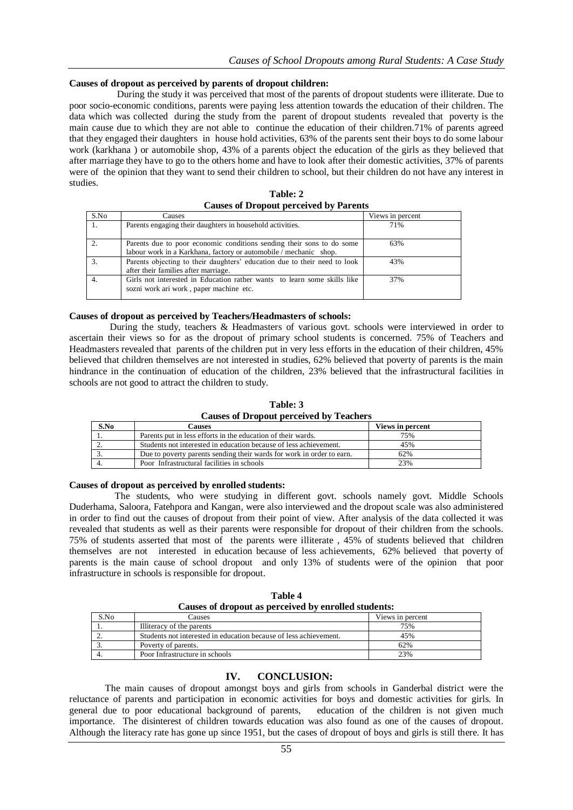### **Causes of dropout as perceived by parents of dropout children:**

 During the study it was perceived that most of the parents of dropout students were illiterate. Due to poor socio-economic conditions, parents were paying less attention towards the education of their children. The data which was collected during the study from the parent of dropout students revealed that poverty is the main cause due to which they are not able to continue the education of their children.71% of parents agreed that they engaged their daughters in house hold activities, 63% of the parents sent their boys to do some labour work (karkhana ) or automobile shop, 43% of a parents object the education of the girls as they believed that after marriage they have to go to the others home and have to look after their domestic activities, 37% of parents were of the opinion that they want to send their children to school, but their children do not have any interest in studies.

| S.No | Causes                                                                                                                                     | Views in percent |
|------|--------------------------------------------------------------------------------------------------------------------------------------------|------------------|
| 1.   | Parents engaging their daughters in household activities.                                                                                  | 71%              |
| 2.   | Parents due to poor economic conditions sending their sons to do some<br>labour work in a Karkhana, factory or automobile / mechanic shop. | 63%              |
| 3.   | Parents objecting to their daughters' education due to their need to look<br>after their families after marriage.                          | 43%              |
| 4.   | Girls not interested in Education rather wants to learn some skills like<br>sozni work ari work, paper machine etc.                        | 37%              |

**Table: 2 Causes of Dropout perceived by Parents**

#### **Causes of dropout as perceived by Teachers/Headmasters of schools:**

 During the study, teachers & Headmasters of various govt. schools were interviewed in order to ascertain their views so for as the dropout of primary school students is concerned. 75% of Teachers and Headmasters revealed that parents of the children put in very less efforts in the education of their children, 45% believed that children themselves are not interested in studies, 62% believed that poverty of parents is the main hindrance in the continuation of education of the children, 23% believed that the infrastructural facilities in schools are not good to attract the children to study.

|                                                | Table: 3 |  |
|------------------------------------------------|----------|--|
| <b>Causes of Dropout perceived by Teachers</b> |          |  |

| S.No | Causes                                                                | Views in percent |
|------|-----------------------------------------------------------------------|------------------|
|      | Parents put in less efforts in the education of their wards.          | 75%              |
|      | Students not interested in education because of less achievement.     | 45%              |
|      | Due to poverty parents sending their wards for work in order to earn. | 62%              |
|      | Poor Infrastructural facilities in schools                            | 23%              |

#### **Causes of dropout as perceived by enrolled students:**

 The students, who were studying in different govt. schools namely govt. Middle Schools Duderhama, Saloora, Fatehpora and Kangan, were also interviewed and the dropout scale was also administered in order to find out the causes of dropout from their point of view. After analysis of the data collected it was revealed that students as well as their parents were responsible for dropout of their children from the schools. 75% of students asserted that most of the parents were illiterate , 45% of students believed that children themselves are not interested in education because of less achievements, 62% believed that poverty of parents is the main cause of school dropout and only 13% of students were of the opinion that poor infrastructure in schools is responsible for dropout.

| Table 4                                              |          |  |  |
|------------------------------------------------------|----------|--|--|
| Causes of dropout as perceived by enrolled students: |          |  |  |
| Causes                                               | Views in |  |  |

| S.No | Causes                                                            | Views in percent |
|------|-------------------------------------------------------------------|------------------|
|      | Illiteracy of the parents                                         | 75%              |
| ـ.   | Students not interested in education because of less achievement. | 45%              |
|      | Poverty of parents.                                               | 62%              |
|      | Poor Infrastructure in schools                                    | 23%              |

## **IV. CONCLUSION:**

 The main causes of dropout amongst boys and girls from schools in Ganderbal district were the reluctance of parents and participation in economic activities for boys and domestic activities for girls. In general due to poor educational background of parents, education of the children is not given much importance. The disinterest of children towards education was also found as one of the causes of dropout. Although the literacy rate has gone up since 1951, but the cases of dropout of boys and girls is still there. It has